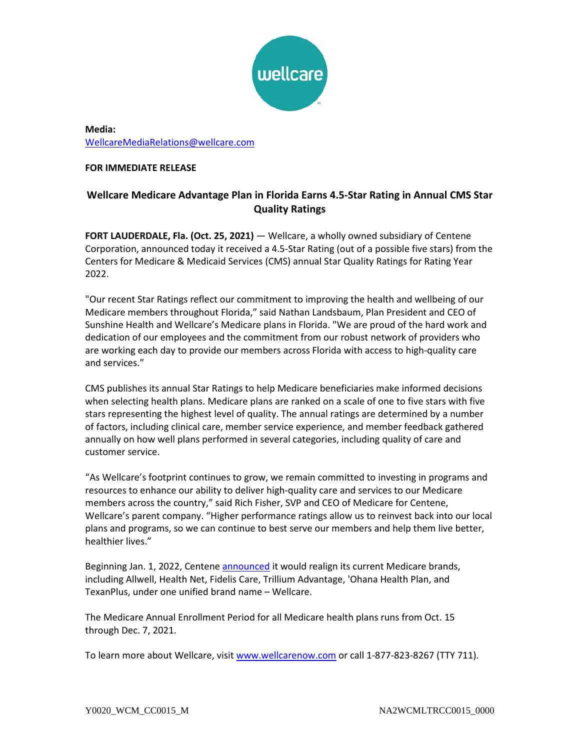

**Media:** [WellcareMediaRelations@wellcare.com](mailto:WellcareMediaRelations@wellcare.com)

## **FOR IMMEDIATE RELEASE**

# **Wellcare Medicare Advantage Plan in Florida Earns 4.5-Star Rating in Annual CMS Star Quality Ratings**

**FORT LAUDERDALE, Fla. (Oct. 25, 2021)** — Wellcare, a wholly owned subsidiary of Centene Corporation, announced today it received a 4.5-Star Rating (out of a possible five stars) from the Centers for Medicare & Medicaid Services (CMS) annual Star Quality Ratings for Rating Year 2022.

"Our recent Star Ratings reflect our commitment to improving the health and wellbeing of our Medicare members throughout Florida," said Nathan Landsbaum, Plan President and CEO of Sunshine Health and Wellcare's Medicare plans in Florida. "We are proud of the hard work and dedication of our employees and the commitment from our robust network of providers who are working each day to provide our members across Florida with access to high-quality care and services."

CMS publishes its annual Star Ratings to help Medicare beneficiaries make informed decisions when selecting health plans. Medicare plans are ranked on a scale of one to five stars with five stars representing the highest level of quality. The annual ratings are determined by a number of factors, including clinical care, member service experience, and member feedback gathered annually on how well plans performed in several categories, including quality of care and customer service.

"As Wellcare's footprint continues to grow, we remain committed to investing in programs and resources to enhance our ability to deliver high-quality care and services to our Medicare members across the country," said Rich Fisher, SVP and CEO of Medicare for Centene, Wellcare's parent company. "Higher performance ratings allow us to reinvest back into our local plans and programs, so we can continue to best serve our members and help them live better, healthier lives."

Beginning Jan. 1, 2022, Centene [announced](https://www.prnewswire.com/news-releases/wellcare-announces-refreshed-brand-in-effort-to-better-serve-medicare-members-301366933.html) it would realign its current Medicare brands, including Allwell, Health Net, Fidelis Care, Trillium Advantage, 'Ohana Health Plan, and TexanPlus, under one unified brand name – Wellcare.

The Medicare Annual Enrollment Period for all Medicare health plans runs from Oct. 15 through Dec. 7, 2021.

To learn more about Wellcare, visi[t www.wellcarenow.com](http://www.wellcarenow.com/) or call 1-877-823-8267 (TTY 711).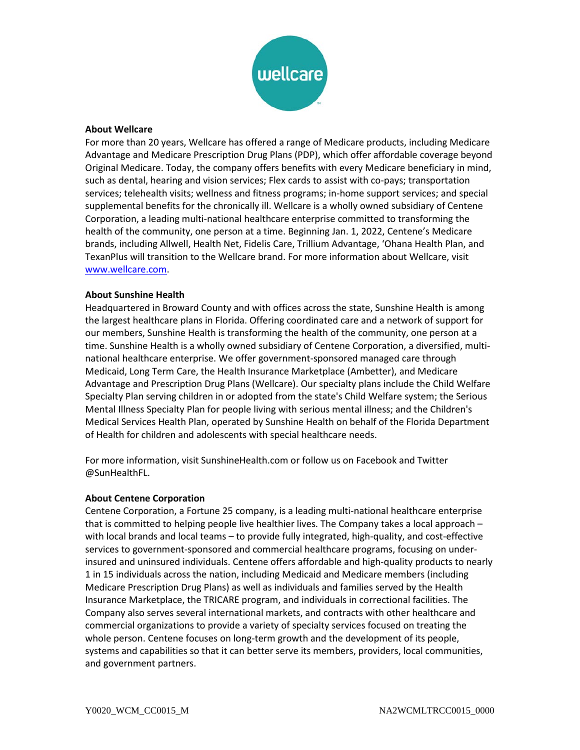

### **About Wellcare**

For more than 20 years, Wellcare has offered a range of Medicare products, including Medicare Advantage and Medicare Prescription Drug Plans (PDP), which offer affordable coverage beyond Original Medicare. Today, the company offers benefits with every Medicare beneficiary in mind, such as dental, hearing and vision services; Flex cards to assist with co-pays; transportation services; telehealth visits; wellness and fitness programs; in-home support services; and special supplemental benefits for the chronically ill. Wellcare is a wholly owned subsidiary of Centene Corporation, a leading multi-national healthcare enterprise committed to transforming the health of the community, one person at a time. Beginning Jan. 1, 2022, Centene's Medicare brands, including Allwell, Health Net, Fidelis Care, Trillium Advantage, 'Ohana Health Plan, and TexanPlus will transition to the Wellcare brand. For more information about Wellcare, visit [www.wellcare.com.](http://www.wellcare.com/)

#### **About Sunshine Health**

Headquartered in Broward County and with offices across the state, Sunshine Health is among the largest healthcare plans in Florida. Offering coordinated care and a network of support for our members, Sunshine Health is transforming the health of the community, one person at a time. Sunshine Health is a wholly owned subsidiary of Centene Corporation, a diversified, multinational healthcare enterprise. We offer government-sponsored managed care through Medicaid, Long Term Care, the Health Insurance Marketplace (Ambetter), and Medicare Advantage and Prescription Drug Plans (Wellcare). Our specialty plans include the Child Welfare Specialty Plan serving children in or adopted from the state's Child Welfare system; the Serious Mental Illness Specialty Plan for people living with serious mental illness; and the Children's Medical Services Health Plan, operated by Sunshine Health on behalf of the Florida Department of Health for children and adolescents with special healthcare needs.

For more information, visit SunshineHealth.com or follow us on Facebook and Twitter @SunHealthFL.

#### **About Centene Corporation**

Centene Corporation, a Fortune 25 company, is a leading multi-national healthcare enterprise that is committed to helping people live healthier lives. The Company takes a local approach – with local brands and local teams – to provide fully integrated, high-quality, and cost-effective services to government-sponsored and commercial healthcare programs, focusing on underinsured and uninsured individuals. Centene offers affordable and high-quality products to nearly 1 in 15 individuals across the nation, including Medicaid and Medicare members (including Medicare Prescription Drug Plans) as well as individuals and families served by the Health Insurance Marketplace, the TRICARE program, and individuals in correctional facilities. The Company also serves several international markets, and contracts with other healthcare and commercial organizations to provide a variety of specialty services focused on treating the whole person. Centene focuses on long-term growth and the development of its people, systems and capabilities so that it can better serve its members, providers, local communities, and government partners.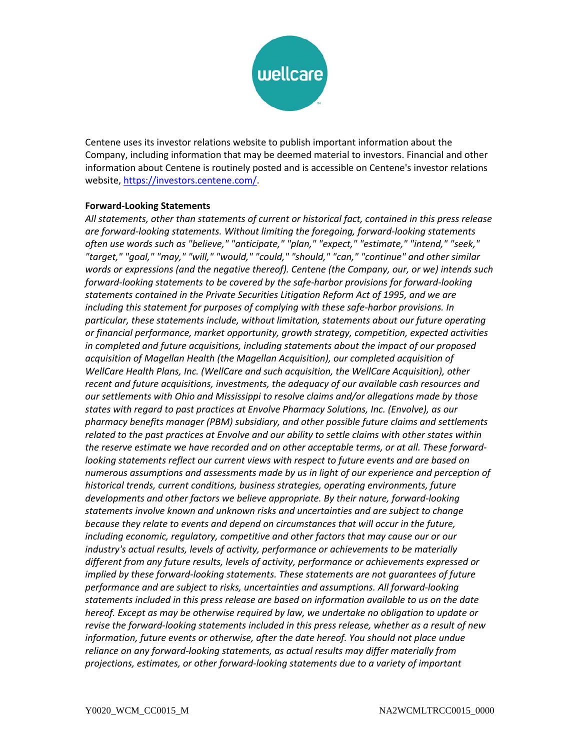

Centene uses its investor relations website to publish important information about the Company, including information that may be deemed material to investors. Financial and other information about Centene is routinely posted and is accessible on Centene's investor relations website, [https://investors.centene.com/.](https://investors.centene.com/)

## **Forward-Looking Statements**

*All statements, other than statements of current or historical fact, contained in this press release are forward-looking statements. Without limiting the foregoing, forward-looking statements often use words such as "believe," "anticipate," "plan," "expect," "estimate," "intend," "seek," "target," "goal," "may," "will," "would," "could," "should," "can," "continue" and other similar words or expressions (and the negative thereof). Centene (the Company, our, or we) intends such forward-looking statements to be covered by the safe-harbor provisions for forward-looking statements contained in the Private Securities Litigation Reform Act of 1995, and we are including this statement for purposes of complying with these safe-harbor provisions. In particular, these statements include, without limitation, statements about our future operating or financial performance, market opportunity, growth strategy, competition, expected activities in completed and future acquisitions, including statements about the impact of our proposed acquisition of Magellan Health (the Magellan Acquisition), our completed acquisition of WellCare Health Plans, Inc. (WellCare and such acquisition, the WellCare Acquisition), other recent and future acquisitions, investments, the adequacy of our available cash resources and our settlements with Ohio and Mississippi to resolve claims and/or allegations made by those states with regard to past practices at Envolve Pharmacy Solutions, Inc. (Envolve), as our pharmacy benefits manager (PBM) subsidiary, and other possible future claims and settlements related to the past practices at Envolve and our ability to settle claims with other states within the reserve estimate we have recorded and on other acceptable terms, or at all. These forwardlooking statements reflect our current views with respect to future events and are based on numerous assumptions and assessments made by us in light of our experience and perception of historical trends, current conditions, business strategies, operating environments, future developments and other factors we believe appropriate. By their nature, forward-looking statements involve known and unknown risks and uncertainties and are subject to change because they relate to events and depend on circumstances that will occur in the future, including economic, regulatory, competitive and other factors that may cause our or our industry's actual results, levels of activity, performance or achievements to be materially different from any future results, levels of activity, performance or achievements expressed or implied by these forward-looking statements. These statements are not guarantees of future performance and are subject to risks, uncertainties and assumptions. All forward-looking statements included in this press release are based on information available to us on the date hereof. Except as may be otherwise required by law, we undertake no obligation to update or revise the forward-looking statements included in this press release, whether as a result of new information, future events or otherwise, after the date hereof. You should not place undue reliance on any forward-looking statements, as actual results may differ materially from projections, estimates, or other forward-looking statements due to a variety of important*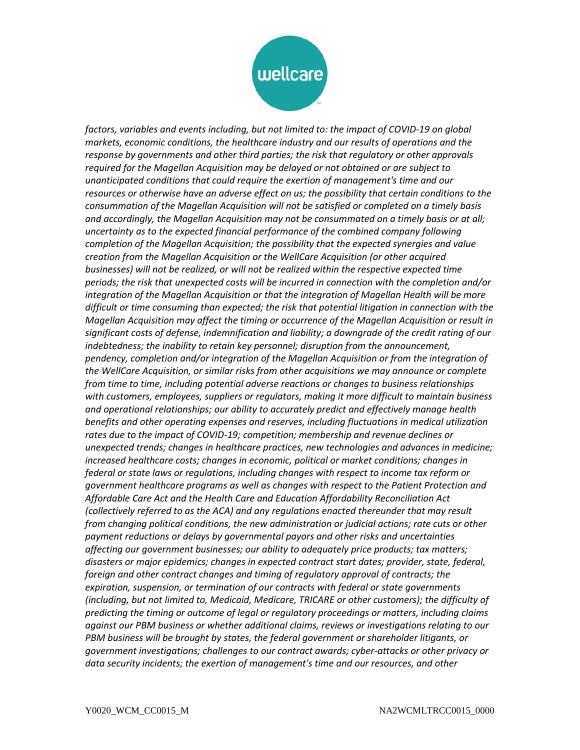

*factors, variables and events including, but not limited to: the impact of COVID-19 on global markets, economic conditions, the healthcare industry and our results of operations and the response by governments and other third parties; the risk that regulatory or other approvals required for the Magellan Acquisition may be delayed or not obtained or are subject to unanticipated conditions that could require the exertion of management's time and our resources or otherwise have an adverse effect on us; the possibility that certain conditions to the consummation of the Magellan Acquisition will not be satisfied or completed on a timely basis and accordingly, the Magellan Acquisition may not be consummated on a timely basis or at all; uncertainty as to the expected financial performance of the combined company following completion of the Magellan Acquisition; the possibility that the expected synergies and value creation from the Magellan Acquisition or the WellCare Acquisition (or other acquired businesses) will not be realized, or will not be realized within the respective expected time periods; the risk that unexpected costs will be incurred in connection with the completion and/or integration of the Magellan Acquisition or that the integration of Magellan Health will be more difficult or time consuming than expected; the risk that potential litigation in connection with the Magellan Acquisition may affect the timing or occurrence of the Magellan Acquisition or result in significant costs of defense, indemnification and liability; a downgrade of the credit rating of our indebtedness; the inability to retain key personnel; disruption from the announcement, pendency, completion and/or integration of the Magellan Acquisition or from the integration of the WellCare Acquisition, or similar risks from other acquisitions we may announce or complete from time to time, including potential adverse reactions or changes to business relationships with customers, employees, suppliers or regulators, making it more difficult to maintain business and operational relationships; our ability to accurately predict and effectively manage health benefits and other operating expenses and reserves, including fluctuations in medical utilization rates due to the impact of COVID-19; competition; membership and revenue declines or unexpected trends; changes in healthcare practices, new technologies and advances in medicine; increased healthcare costs; changes in economic, political or market conditions; changes in federal or state laws or regulations, including changes with respect to income tax reform or government healthcare programs as well as changes with respect to the Patient Protection and Affordable Care Act and the Health Care and Education Affordability Reconciliation Act (collectively referred to as the ACA) and any regulations enacted thereunder that may result from changing political conditions, the new administration or judicial actions; rate cuts or other payment reductions or delays by governmental payors and other risks and uncertainties affecting our government businesses; our ability to adequately price products; tax matters; disasters or major epidemics; changes in expected contract start dates; provider, state, federal, foreign and other contract changes and timing of regulatory approval of contracts; the expiration, suspension, or termination of our contracts with federal or state governments (including, but not limited to, Medicaid, Medicare, TRICARE or other customers); the difficulty of predicting the timing or outcome of legal or regulatory proceedings or matters, including claims against our PBM business or whether additional claims, reviews or investigations relating to our PBM business will be brought by states, the federal government or shareholder litigants, or government investigations; challenges to our contract awards; cyber-attacks or other privacy or data security incidents; the exertion of management's time and our resources, and other*